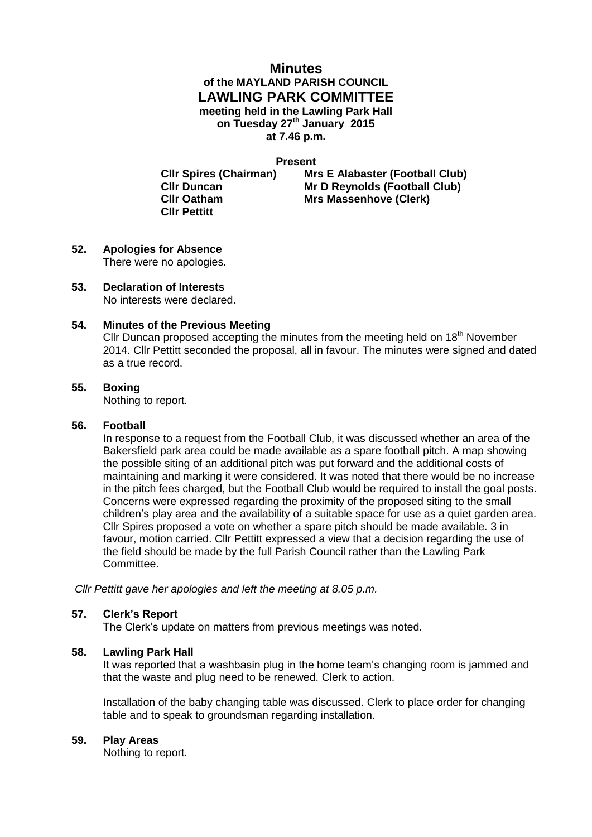# **Minutes of the MAYLAND PARISH COUNCIL LAWLING PARK COMMITTEE meeting held in the Lawling Park Hall on Tuesday 27th January 2015 at 7.46 p.m.**

**Present**

**Cllr Pettitt** 

**Cllr Spires (Chairman) Mrs E Alabaster (Football Club) Cllr Duncan Mr D Reynolds (Football Club) Cllr Oatham Mrs Massenhove (Clerk)**

- **52. Apologies for Absence** There were no apologies.
- **53. Declaration of Interests** No interests were declared.

## **54. Minutes of the Previous Meeting**

Cllr Duncan proposed accepting the minutes from the meeting held on 18<sup>th</sup> November 2014. Cllr Pettitt seconded the proposal, all in favour. The minutes were signed and dated as a true record.

## **55. Boxing**

Nothing to report.

## **56. Football**

In response to a request from the Football Club, it was discussed whether an area of the Bakersfield park area could be made available as a spare football pitch. A map showing the possible siting of an additional pitch was put forward and the additional costs of maintaining and marking it were considered. It was noted that there would be no increase in the pitch fees charged, but the Football Club would be required to install the goal posts. Concerns were expressed regarding the proximity of the proposed siting to the small children's play area and the availability of a suitable space for use as a quiet garden area. Cllr Spires proposed a vote on whether a spare pitch should be made available. 3 in favour, motion carried. Cllr Pettitt expressed a view that a decision regarding the use of the field should be made by the full Parish Council rather than the Lawling Park Committee.

*Cllr Pettitt gave her apologies and left the meeting at 8.05 p.m.*

## **57. Clerk's Report**

The Clerk's update on matters from previous meetings was noted.

## **58. Lawling Park Hall**

It was reported that a washbasin plug in the home team's changing room is jammed and that the waste and plug need to be renewed. Clerk to action.

Installation of the baby changing table was discussed. Clerk to place order for changing table and to speak to groundsman regarding installation.

## **59. Play Areas**

Nothing to report.